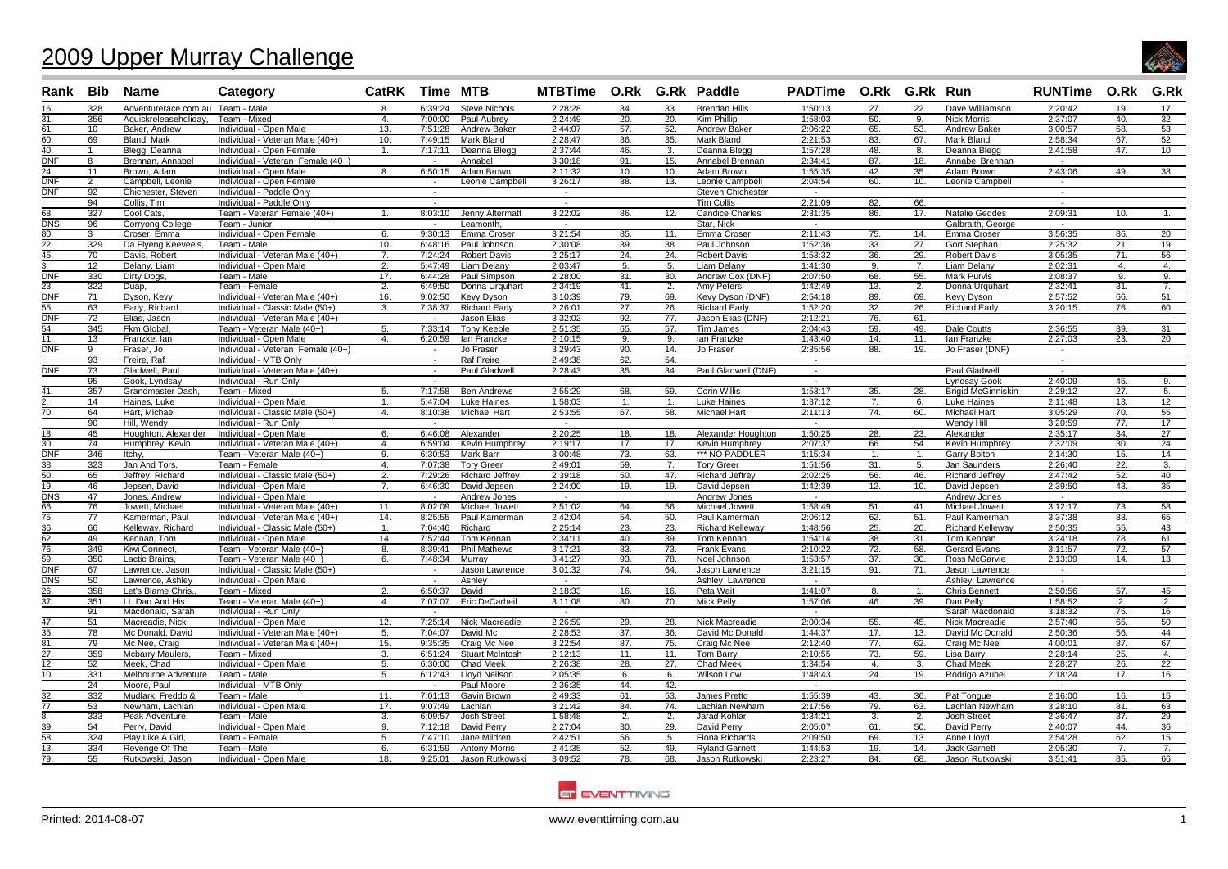## 2009 Upper Murray Challenge



|                         |                 | Rank Bib Name                       | Category                                         | CatRK Time MTB   |                    |                              | MTBTime O.Rk G.Rk Paddle |                   |            |                                      | PADTime O.Rk G.Rk Run |              |                |                              | RUNTime O.Rk G.Rk  |                 |            |
|-------------------------|-----------------|-------------------------------------|--------------------------------------------------|------------------|--------------------|------------------------------|--------------------------|-------------------|------------|--------------------------------------|-----------------------|--------------|----------------|------------------------------|--------------------|-----------------|------------|
| 16.                     | 328             | Adventurerace.com.au Team - Male    |                                                  | 8.               | 6:39:24            | <b>Steve Nichols</b>         | 2:28:28                  | 34.               | 33.        | <b>Brendan Hills</b>                 | 1:50:13               | 27.          | 22.            | Dave Williamson              | 2:20:42            | 19.             | 17.        |
| 31.                     | 356             | Aquickreleaseholiday,               | Team - Mixed                                     | $\overline{4}$ . | 7:00:00            | Paul Aubrey                  | 2:24:49                  | 20.               | 20.        | <b>Kim Phillip</b>                   | 1:58:03               | 50.          | 9.             | <b>Nick Morris</b>           | 2:37:07            | 40.             | 32.        |
| 61.                     | 10 <sup>1</sup> | Baker, Andrew                       | Individual - Open Male                           | 13.              | 7:51:28            | <b>Andrew Baker</b>          | 2:44:07                  | 57.               | 52.        | <b>Andrew Baker</b>                  | 2:06:22               | 65.          | 53.            | <b>Andrew Baker</b>          | 3:00:57            | 68.             | 53.        |
| 60.                     | 69              | Bland, Mark                         | Individual - Veteran Male (40+)                  | 10.              | 7:49:15            | <b>Mark Bland</b>            | 2:28:47                  | 36.               | 35.        | <b>Mark Bland</b>                    | 2:21:53               | 83.          | 67.            | Mark Bland                   | 2:58:34            | 67.             | 52.        |
| 40.                     | $\mathbf{1}$    | Blegg, Deanna                       | Individual - Open Female                         | 1.               | 7:17:11            | Deanna Blegg                 | 2:37:44                  | 46.               | 3.         | Deanna Blegg                         | 1:57:28               | 48.          | 8.             | Deanna Blegg                 | 2:41:58            | 47.             | 10.        |
| <b>DNF</b>              | 8               | Brennan, Annabel                    | Individual - Veteran Female (40+)                |                  | $\sim$             | Annabel                      | 3:30:18                  | 91.               | 15.        | Annabel Brennan                      | 2:34:41               | 87.          | 18.            | Annabel Brennan              |                    |                 |            |
| 24.                     | 11              | Brown, Adam                         | Individual - Open Male                           | 8.               | 6:50:15            | Adam Brown                   | 2:11:32                  | 10.               | 10.        | Adam Brown                           | 1:55:35               | 42.          | 35.            | Adam Brown                   | 2:43:06            | 49.             | 38.        |
| <b>DNF</b>              | $\overline{2}$  | Campbell, Leonie                    | Individual - Open Female                         |                  | $\sim$             | Leonie Campbell              | 3:26:17                  | 88.               | 13.        | Leonie Campbell                      | 2:04:54               | 60.          | 10.            | Leonie Campbell              | $\sim$             |                 |            |
| <b>DNF</b>              | 92              | Chichester, Steven                  | Individual - Paddle Only                         |                  |                    |                              | $\sim$                   |                   |            | <b>Steven Chichester</b>             | $\sim$                |              |                |                              | $\sim$             |                 |            |
|                         | 94              | Collis, Tim                         | Individual - Paddle Only                         |                  | $\sim$             |                              | $\sim$                   |                   |            | <b>Tim Collis</b>                    | 2:21:09               | 82.          | 66.            |                              | $\sim$             |                 |            |
| 68.                     | 327             | Cool Cats.                          | Team - Veteran Female (40+)                      | 1.               | 8:03:10            | Jenny Altermatt              | 3:22:02                  | 86.               | 12.        | <b>Candice Charles</b>               | 2:31:35               | 86.          | 17.            | Natalie Geddes               | 2:09:31            | 10.             | 1.         |
| DNS                     | 96              | Corryong College                    | Team - Junior                                    |                  |                    | Leamonth                     | $\sim$                   |                   |            | Star, Nick                           | $\sim$<br>2:11:43     |              |                | Galbraith, George            | $\overline{a}$     |                 |            |
| 80.<br>22.              | 3<br>329        | Croser, Emma<br>Da Flyeng Keevee's, | Individual - Open Female<br>Team - Male          | 6.<br>10.        | 9:30:13<br>6:48:16 | Emma Croser<br>Paul Johnson  | 3:21:54<br>2:30:08       | 85.<br>39.        | 11.<br>38. | Emma Croser<br>Paul Johnson          | 1:52:36               | 75.<br>33.   | 14.<br>27.     | Emma Croser<br>Gort Stephan  | 3:56:35<br>2:25:32 | 86.<br>21.      | 20.<br>19. |
| 45.                     | 70              | Davis, Robert                       | Individual - Veteran Male (40+)                  | 7.               | 7:24:24            | <b>Robert Davis</b>          | 2:25:17                  | 24.               | 24.        | <b>Robert Davis</b>                  | 1:53:32               | 36.          | 29.            | <b>Robert Davis</b>          | 3:05:35            | 71.             | 56.        |
|                         | $\overline{12}$ | Delany, Liam                        | Individual - Open Male                           | 2.               | 5:47:49            | <b>Liam Delany</b>           | 2:03:47                  | 5.                | 5.         | <b>Liam Delany</b>                   | 1:41:30               | 9.           | 7.             | Liam Delany                  | 2:02:31            | $\mathbf{4}$ .  | 4.         |
| <b>DNF</b>              | 330             | Dirty Dogs,                         | Team - Male                                      | 17.              | 6:44:28            | Paul Simpson                 | 2:28:00                  | 31.               | 30.        | Andrew Cox (DNF)                     | 2:07:50               | 68.          | 55.            | Mark Purvis                  | 2:08:37            | 9.              | 9.         |
| 23.                     | 322             | Duap,                               | Team - Female                                    | 2.               | 6:49:50            | Donna Urguhart               | 2:34:19                  | 41.               | 2.         | Amy Peters                           | 1:42:49               | 13.          | 2.             | Donna Urquhart               | 2:32:41            | 31.             | 7.         |
| $\overline{DNF}$        | 71              | Dyson, Kevy                         | Individual - Veteran Male (40+)                  | 16.              | 9:02:50            | Kevy Dyson                   | 3:10:39                  | 79.               | 69.        | Kevy Dyson (DNF)                     | 2:54:18               | 89.          | 69.            | <b>Kevy Dyson</b>            | 2:57:52            | 66.             | 51.        |
| 55.                     | 63              | Early, Richard                      | Individual - Classic Male (50+                   | 3.               | 7:38:37            | <b>Richard Early</b>         | 2:26:01                  | 27.               | 26.        | <b>Richard Early</b>                 | 1:52:20               | 32.          | 26.            | <b>Richard Early</b>         | 3:20:15            | 76.             | 60.        |
| DNF                     | 72              | Elias, Jason                        | Individual - Veteran Male (40+)                  |                  |                    | Jason Elias                  | 3:32:02                  | 92.               | 77.        | Jason Elias (DNF)                    | 2:12:21               | 76.          | 61.            |                              |                    |                 |            |
| 54.                     | 345             | Fkm Global.                         | Team - Veteran Male (40+)                        | 5.               | 7:33:14            | <b>Tony Keeble</b>           | 2:51:35                  | 65.               | 57.        | Tim James                            | 2:04:43               | 59.          | 49.            | Dale Coutts                  | 2:36:55            | 39.             | 31.        |
| 11.                     | 13              | Franzke, lan                        | Individual - Open Male                           | 4.               | 6:20:59            | lan Franzke                  | 2:10:15                  | 9.                | 9.         | lan Franzke                          | 1:43:40               | 14.          | 11.            | lan Franzke                  | 2:27:03            | 23.             | 20.        |
| DNF                     | 9               | Fraser, Jo                          | Individual - Veteran Female (40+)                |                  | $\sim$             | Jo Fraser                    | 3:29:43                  | 90.               | 14.        | Jo Fraser                            | 2:35:56               | 88.          | 19.            | Jo Fraser (DNF)              | $\sim$             |                 |            |
|                         | 93              | Freire, Raf                         | Individual - MTB Only                            |                  | $\sim$             | <b>Raf Freire</b>            | 2:49:38                  | 62.               | 54.        |                                      | $\sim$                |              |                |                              | $\sim$             |                 |            |
| DNF                     | 73              | Gladwell, Paul                      | Individual - Veteran Male (40+)                  |                  | $\sim$             | Paul Gladwell                | 2:28:43                  | 35.               | 34.        | Paul Gladwell (DNF)                  | $\sim$                |              |                | Paul Gladwell                | $\sim$             |                 |            |
|                         | 95              | Gook, Lyndsay                       | Individual - Run Only                            |                  |                    |                              | $\sim$                   |                   |            |                                      | $\sim$                |              |                | Lyndsay Gook                 | 2:40:09            | 45.             | 9.         |
| 41.                     | 357             | Grandmaster Dash.                   | Team - Mixed                                     | 5.               | 7:17:58            | <b>Ben Andrews</b>           | 2:55:29                  | 68.               | 59.        | Corin Willis                         | 1:53:17               | 35.          | 28.            | <b>Brigid McGinniskin</b>    | 2:29:12            | $\overline{27}$ | 5.         |
|                         | 14              | Haines, Luke                        | Individual - Open Male                           | -1.              | 5:47:04            | Luke Haines                  | 1:58:03                  | 1.                | 1.         | Luke Haines                          | 1:37:12               | 7.           | 6.             | Luke Haines                  | 2:11:48            | 13.             | 12.        |
| $\overline{70}$ .       | 64              | Hart. Michael                       | Individual - Classic Male (50+)                  | 4.               | 8:10:38            | <b>Michael Hart</b>          | 2:53:55                  | 67.               | 58.        | Michael Hart                         | 2:11:13               | 74.          | 60.            | <b>Michael Hart</b>          | 3:05:29            | 70.             | 55.        |
|                         | 90              | Hill, Wendy                         | Individual - Run Only                            |                  |                    |                              | $\sim$                   |                   |            |                                      | $\sim$                |              |                | Wendy Hill                   | 3:20:59            | 77.             | 17.        |
| 18.                     | 45              | Houghton, Alexander                 | Individual - Open Male                           | 6.               | 6:46:08            | Alexander                    | 2:20:25                  | 18.               | 18.        | Alexander Houghton                   | 1:50:25               | 28.          | 23.            | Alexander                    | 2:35:17            | 34.             | 27.        |
| $\overline{30}$ .       | 74              | Humphrey, Kevin                     | Individual - Veteran Male (40+)                  | 4.               | 6:59:04            | Kevin Humphrey               | 2:19:17                  | 17.               | 17.        | Kevin Humphrey                       | 2:07:37               | 66.          | 54.            | Kevin Humphrey               | 2:32:09            | 30.             | 24.        |
| DNF                     | 346             | <b>Itchy</b>                        | Team - Veteran Male (40+)                        | 9.               | 6:30:53            | Mark Barr                    | 3:00:48                  | 73.               | 63.        | *** NO PADDLER                       | 1:15:34               | $\mathbf{1}$ | $\mathbf{1}$ . | Garry Bolton                 | 2:14:30            | 15.             | 14.        |
| 38.                     | 323             | Jan And Tors,                       | Team - Female                                    | 4.               | 7:07:38            | <b>Tory Greer</b>            | 2:49:01                  | 59.               | 7.         | <b>Tory Greer</b>                    | 1:51:56               | 31.          | 5.             | Jan Saunders                 | 2:26:40            | 22.             | 3.         |
| 50.                     | 65<br>46        | Jeffrey, Richard                    | Individual - Classic Male (50+)                  | 2.<br>7.         | 7:29:26            | Richard Jeffrey              | 2:39:18                  | 50.               | 47.        | Richard Jeffrey                      | 2:02:25               | 56.          | 46.            | Richard Jeffrey              | 2:47:42            | 52.             | 40.        |
| 19.<br>$\overline{DNS}$ | 47              | Jepsen, David<br>Jones, Andrew      | Individual - Open Male<br>Individual - Open Male |                  | 6:46:30<br>$\sim$  | David Jepsen<br>Andrew Jones | 2:24:00<br>$\sim$        | 19.               | 19.        | David Jepsen<br>Andrew Jones         | 1:42:39<br>$\sim$     | 12.          | 10.            | David Jepsen<br>Andrew Jones | 2:39:50<br>$\sim$  | 43.             | 35.        |
| 66.                     | 76              | Jowett, Michael                     | Individual - Veteran Male (40+)                  | 11.              | 8:02:09            | Michael Jowett               | 2:51:02                  | 64.               | 56.        | Michael Jowett                       | 1:58:49               | 51.          | 41.            | Michael Jowett               | 3:12:17            | 73.             | 58.        |
| 75.                     | 77              | Kamerman, Paul                      | Individual - Veteran Male (40+)                  | 14.              | 8:25:55            | Paul Kamerman                | 2:42:04                  | 54.               | 50.        | Paul Kamerman                        | 2:06:12               | 62.          | 51.            | Paul Kamerman                | 3:37:38            | 83.             | 65.        |
| 36.                     | 66              | Kelleway, Richard                   | Individual - Classic Male (50+)                  | 1.               | 7:04:46            | Richard                      | 2:25:14                  | 23.               | 23.        | <b>Richard Kellewav</b>              | 1:48:56               | 25.          | 20.            | <b>Richard Kellewav</b>      | 2:50:35            | 55.             | 43.        |
| 62.                     | 49              | Kennan, Tom                         | Individual - Open Male                           | 14.              | 7:52:44            | Tom Kennan                   | 2:34:11                  | 40.               | 39.        | Tom Kennan                           | 1:54:14               | 38.          | 31.            | Tom Kennan                   | 3:24:18            | 78.             | 61.        |
| 76.                     | 349             | <b>Kiwi Connect</b>                 | Team - Veteran Male (40+)                        | 8.               | 8:39:41            | <b>Phil Mathews</b>          | 3:17:21                  | 83.               | 73.        | <b>Frank Evans</b>                   | 2:10:22               | 72.          | 58.            | <b>Gerard Evans</b>          | 3:11:57            | 72.             | 57.        |
| $\overline{59}$ .       | 350             | Lactic Brains,                      | Team - Veteran Male (40+)                        | 6.               | 7:48:34            | Murray                       | 3:41:27                  | 93.               | 78.        | Noel Johnson                         | 1:53:57               | 37.          | 30.            | Ross McGarvie                | 2:13:09            | 14.             | 13.        |
| <b>DNF</b>              | 67              | Lawrence, Jason                     | Individual - Classic Male (50+)                  |                  | $\sim$             | Jason Lawrence               | 3:01:32                  | 74.               | 64.        | Jason Lawrence                       | 3:21:15               | 91.          | 71.            | Jason Lawrence               | $\sim$             |                 |            |
| <b>DNS</b>              | 50              | Lawrence, Ashley                    | Individual - Open Male                           |                  | $\sim$             | Ashlev                       | $\sim$                   |                   |            | Ashley Lawrence                      | $\sim$                |              |                | Ashley Lawrence              | $\sim$             |                 |            |
| 26.                     | 358             | Let's Blame Chris.                  | Team - Mixed                                     | 2.               | 6:50:37            | David                        | 2:18:33                  | 16.               | 16.        | Peta Wait                            | 1:41:07               | 8.           | $\mathbf{1}$ . | <b>Chris Bennett</b>         | 2:50:56            | 57.             | 45.        |
| 37.                     | 351             | Lt. Dan And His                     | Team - Veteran Male (40+)                        | 4.               | 7:07:07            | Eric DeCarheil               | 3:11:08                  | 80.               | 70.        | <b>Mick Pelly</b>                    | 1:57:06               | 46.          | 39.            | Dan Pelly                    | 1:58:52            | 2.              | 2.         |
|                         | 91              | Macdonald, Sarah                    | Individual - Run Only                            |                  | $\sim$             |                              | $\sim$                   |                   |            |                                      | $\sim$                |              |                | Sarah Macdonald              | 3:18:32            | 75.             | 16.        |
| 47.                     | 51              | Macreadie, Nick                     | Individual - Open Male                           | 12.              | 7:25:14            | <b>Nick Macreadie</b>        | 2:26:59                  | 29.               | 28.        | <b>Nick Macreadie</b>                | 2:00:34               | 55.          | 45.            | <b>Nick Macreadie</b>        | 2:57:40            | 65.             | 50.        |
| 35.                     | 78              | Mc Donald, David                    | Individual - Veteran Male (40+)                  | 5.               | 7:04:07            | David Mc                     | 2:28:53                  | $\overline{37}$ . | 36.        | David Mc Donald                      | 1:44:37               | 17.          | 13.            | David Mc Donald              | 2:50:36            | 56.             | 44.        |
| 81.                     | 79              | Mc Nee, Craio                       | Individual - Veteran Male (40+)                  | 15.              | 9:35:35            | Craig Mc Nee                 | 3:22:54                  | 87.               | 75.        | Craig Mc Nee                         | 2:12:40               | 77.          | 62.            | Craig Mc Nee                 | 4:00:01            | 87.             | 67.        |
| 27.                     | 359             | <b>Mcbarry Maulers.</b>             | Team - Mixed                                     | 3.               | 6:51:24            | <b>Stuart McIntosh</b>       | 2:12:13                  | 11.               | 11.        | <b>Tom Barry</b>                     | 2:10:55               | 73.          | 59.            | Lisa Barry                   | 2:28:14            | 25.             | 4.         |
| 12.                     | 52              | Meek, Chad                          | Individual - Open Male                           | 5.               | 6:30:00            | Chad Meek                    | 2:26:38                  | 28.               | 27.        | Chad Meek                            | 1:34:54               | 4.           | 3.             | Chad Meek                    | 2:28:27            | 26.             | 22.        |
| 10.                     | 331             | Melbourne Adventure                 | Team - Male                                      | 5.               | 6:12:43            | Lloyd Neilson                | 2:05:35                  | 6.                | 6.         | <b>Wilson Low</b>                    | 1:48:43               | 24.          | 19.            | Rodrigo Azubel               | 2:18:24            | 17.             | 16.        |
|                         | 24              | Moore, Paul                         | Individual - MTB Only                            |                  | $\sim$             | Paul Moore                   | 2:36:35                  | 44.               | 42.        |                                      | $\sim$                |              |                |                              | $\sim$             |                 |            |
| $\overline{32}$ .       | 332             | Mudlark, Freddo &                   | Team - Male                                      | 11.              | 7:01:13            | Gavin Brown                  | 2:49:33                  | 61.               | 53.        | James Pretto                         | 1:55:39               | 43.          | 36.            | Pat Tonque                   | 2:16:00            | 16.             | 15.        |
| 77.                     | 53              | Newham, Lachlan                     | Individual - Open Male                           | 17.              | 9:07:49            | Lachlan                      | 3:21:42                  | 84.               | 74.        | Lachlan Newham                       | 2:17:56               | 79.          | 63.            | Lachlan Newham               | 3:28:10            | 81.             | 63.        |
|                         | 333             | Peak Adventure                      | Team - Male                                      | 3.               | 6:09:57            | Josh Street                  | 1:58:48<br>2:27:04       | 2.                | 2.<br>29.  | Jarad Kohlar                         | 1:34:21<br>2:05:07    | 3.           | 2.             | Josh Street                  | 2:36:47<br>2:40:07 | 37.             | 29.        |
| 39.<br>58.              | 54<br>324       | Perry, David<br>Play Like A Girl    | Individual - Open Male<br>Team - Female          | 9.<br>5.         | 7:12:18<br>7:47:10 | David Perry<br>Jane Mildren  | 2:42:51                  | 30.<br>56.        | 5.         | David Perry<br><b>Fiona Richards</b> | 2:09:50               | 61.<br>69.   | 50.<br>13.     | David Perry<br>Anne Lloyd    | 2:54:28            | 44.<br>62.      | 36.<br>15. |
| $\overline{13}$ .       | 334             | Revenge Of The                      | Team - Male                                      | 6.               | 6:31:59            | <b>Antony Morris</b>         | 2:41:35                  | 52.               | 49.        | <b>Ryland Garnett</b>                | 1:44:53               | 19.          | 14.            | Jack Garnett                 | 2:05:30            | 7.              | 7.         |
| 79.                     | 55              | Rutkowski, Jason                    | Individual - Open Male                           | 18.              | 9:25:01            | Jason Rutkowski              | 3:09:52                  | 78.               | 68.        | Jason Rutkowski                      | 2:23:27               | 84.          | 68.            | Jason Rutkowski              | 3:51:41            | 85.             | 66.        |
|                         |                 |                                     |                                                  |                  |                    |                              |                          |                   |            |                                      |                       |              |                |                              |                    |                 |            |